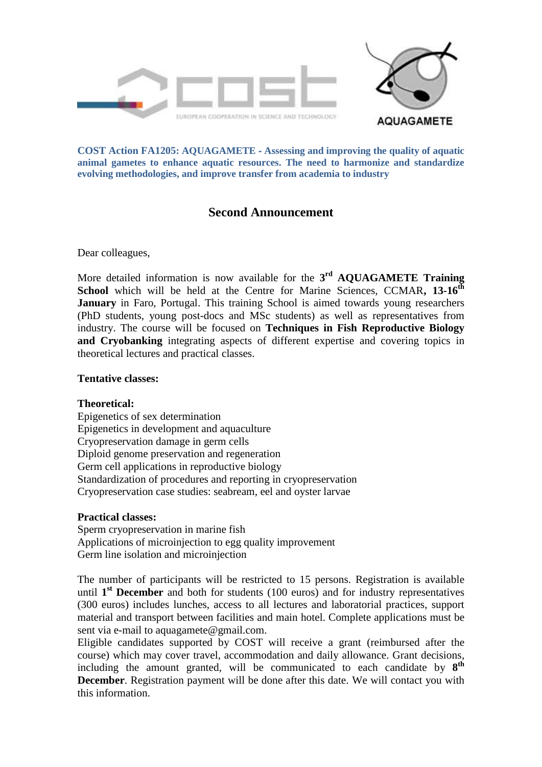

**COST Action FA1205: AQUAGAMETE** ‐ **Assessing and improving the quality of aquatic animal gametes to enhance aquatic resources. The need to harmonize and standardize evolving methodologies, and improve transfer from academia to industry**

# **Second Announcement**

Dear colleagues,

More detailed information is now available for the **3 rd AQUAGAMETE Training School** which will be held at the Centre for Marine Sciences, CCMAR**, 13-16th January** in Faro, Portugal. This training School is aimed towards young researchers (PhD students, young post-docs and MSc students) as well as representatives from industry. The course will be focused on **Techniques in Fish Reproductive Biology and Cryobanking** integrating aspects of different expertise and covering topics in theoretical lectures and practical classes.

### **Tentative classes:**

### **Theoretical:**

Epigenetics of sex determination Epigenetics in development and aquaculture Cryopreservation damage in germ cells Diploid genome preservation and regeneration Germ cell applications in reproductive biology Standardization of procedures and reporting in cryopreservation Cryopreservation case studies: seabream, eel and oyster larvae

### **Practical classes:**

Sperm cryopreservation in marine fish Applications of microinjection to egg quality improvement Germ line isolation and microinjection

The number of participants will be restricted to 15 persons. Registration is available until 1<sup>st</sup> December and both for students (100 euros) and for industry representatives (300 euros) includes lunches, access to all lectures and laboratorial practices, support material and transport between facilities and main hotel. Complete applications must be sent via e-mail to aquagamete@gmail.com.

Eligible candidates supported by COST will receive a grant (reimbursed after the course) which may cover travel, accommodation and daily allowance. Grant decisions, including the amount granted, will be communicated to each candidate by  $8^{th}$ **December**. Registration payment will be done after this date. We will contact you with this information.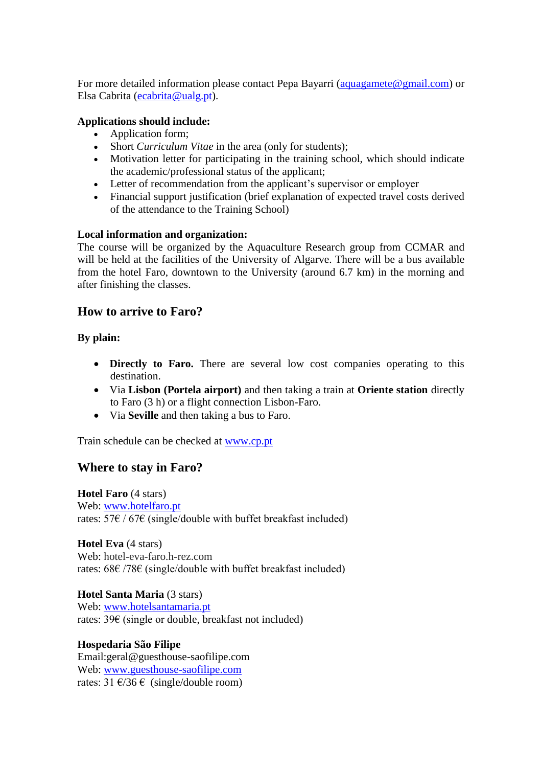For more detailed information please contact Pepa Bayarri [\(aquagamete@gmail.com\)](mailto:aquagamete@gmail.com) or Elsa Cabrita [\(ecabrita@ualg.pt\)](mailto:ecabrita@ualg.pt).

## **Applications should include:**

- Application form;
- Short *Curriculum Vitae* in the area (only for students);
- Motivation letter for participating in the training school, which should indicate the academic/professional status of the applicant;
- Letter of recommendation from the applicant's supervisor or employer
- Financial support justification (brief explanation of expected travel costs derived of the attendance to the Training School)

### **Local information and organization:**

The course will be organized by the Aquaculture Research group from CCMAR and will be held at the facilities of the University of Algarve. There will be a bus available from the hotel Faro, downtown to the University (around 6.7 km) in the morning and after finishing the classes.

# **How to arrive to Faro?**

## **By plain:**

- **Directly to Faro.** There are several low cost companies operating to this destination.
- Via **Lisbon (Portela airport)** and then taking a train at **Oriente station** directly to Faro (3 h) or a flight connection Lisbon-Faro.
- Via **Seville** and then taking a bus to Faro.

Train schedule can be checked at [www.cp.](http://www.cp/)pt

# **Where to stay in Faro?**

**Hotel Faro** (4 stars) Web: [www.hotelfaro.pt](http://www.hotelfaro.pt/) rates:  $57 \epsilon / 67 \epsilon$  (single/double with buffet breakfast included)

**Hotel Eva** (4 stars) Web: hotel-eva-faro.h-rez.com rates: 68€ /78€ (single/double with buffet breakfast included)

**Hotel Santa Maria** (3 stars) Web: [www.hotelsantamaria.pt](http://www.hotelsantamaria.pt/) rates: 39€ (single or double, breakfast not included)

## **Hospedaria São Filipe**

Email:geral@guesthouse-saofilipe.com Web: [www.guesthouse-saofilipe.com](http://www.guesthouse-saofilipe.com/) rates:  $31 \text{ E}/36 \text{ E}$  (single/double room)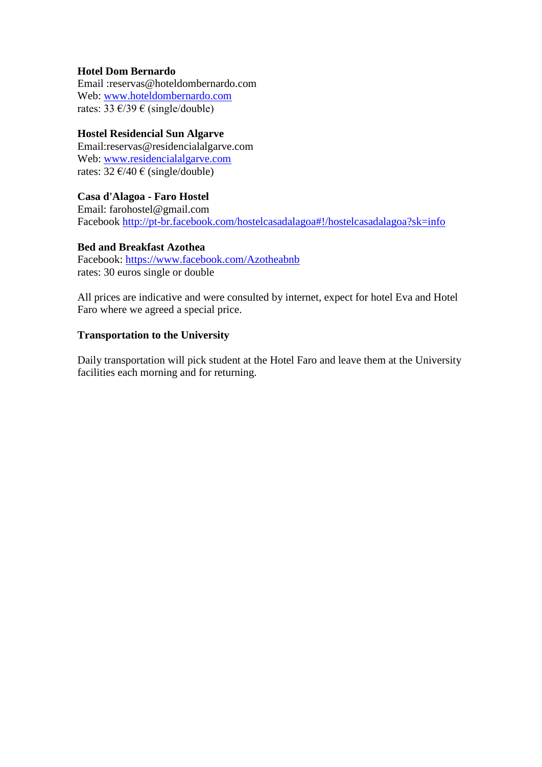## **Hotel Dom Bernardo**

Email :reservas@hoteldombernardo.com Web: [www.hoteldombernardo.com](http://www.hoteldombernardo.com/) rates:  $33 \text{ } \in/39 \text{ } \in \text{(single/double)}$ 

### **Hostel Residencial Sun Algarve**

Email:reservas@residencialalgarve.com Web: [www.residencialalgarve.com](http://www.residencialalgarve.com/) rates:  $32 \text{ E}/40 \text{ E}$  (single/double)

### **Casa d'Alagoa - Faro Hostel**

Email: farohostel@gmail.com Facebook<http://pt-br.facebook.com/hostelcasadalagoa#!/hostelcasadalagoa?sk=info>

### **Bed and Breakfast Azothea**

Facebook:<https://www.facebook.com/Azotheabnb> rates: 30 euros single or double

All prices are indicative and were consulted by internet, expect for hotel Eva and Hotel Faro where we agreed a special price.

### **Transportation to the University**

Daily transportation will pick student at the Hotel Faro and leave them at the University facilities each morning and for returning.